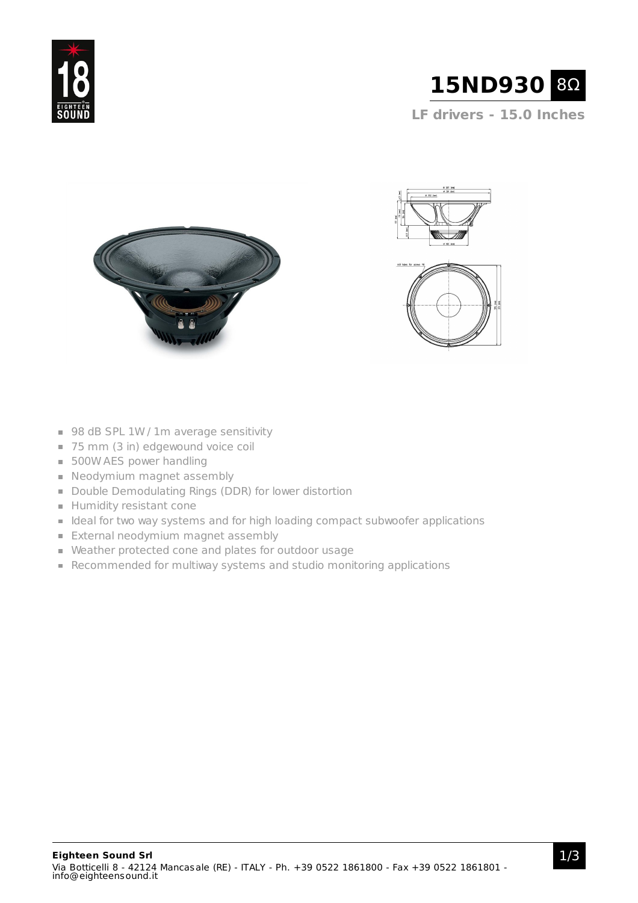

**LF drivers - 15.0 Inches**







- 98 dB SPL 1W / 1m average sensitivity
- 75 mm (3 in) edgewound voice coil
- **500W AES power handling**
- Neodymium magnet assembly
- Double Demodulating Rings (DDR) for lower distortion
- **Humidity resistant cone**
- I Ideal for two way systems and for high loading compact subwoofer applications
- **External neodymium magnet assembly**
- Weather protected cone and plates for outdoor usage
- Recommended for multiway systems and studio monitoring applications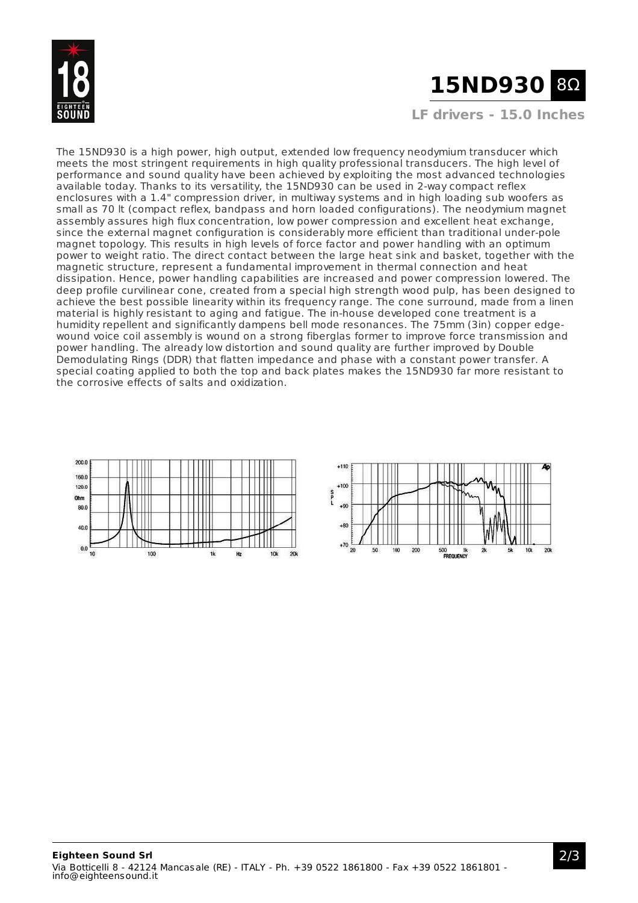

# **15ND930** 8Ω

**LF drivers - 15.0 Inches**

The 15ND930 is a high power, high output, extended low frequency neodymium transducer which meets the most stringent requirements in high quality professional transducers. The high level of performance and sound quality have been achieved by exploiting the most advanced technologies available today. Thanks to its versatility, the 15ND930 can be used in 2-way compact reflex enclosures with a 1.4" compression driver, in multiway systems and in high loading sub woofers as small as 70 lt (compact reflex, bandpass and horn loaded configurations). The neodymium magnet assembly assures high flux concentration, low power compression and excellent heat exchange, since the external magnet configuration is considerably more efficient than traditional under-pole magnet topology. This results in high levels of force factor and power handling with an optimum power to weight ratio. The direct contact between the large heat sink and basket, together with the magnetic structure, represent a fundamental improvement in thermal connection and heat dissipation. Hence, power handling capabilities are increased and power compression lowered. The deep profile curvilinear cone, created from a special high strength wood pulp, has been designed to achieve the best possible linearity within its frequency range. The cone surround, made from a linen material is highly resistant to aging and fatigue. The in-house developed cone treatment is a humidity repellent and significantly dampens bell mode resonances. The 75mm (3in) copper edgewound voice coil assembly is wound on a strong fiberglas former to improve force transmission and power handling. The already low distortion and sound quality are further improved by Double Demodulating Rings (DDR) that flatten impedance and phase with a constant power transfer. A special coating applied to both the top and back plates makes the 15ND930 far more resistant to the corrosive effects of salts and oxidization.